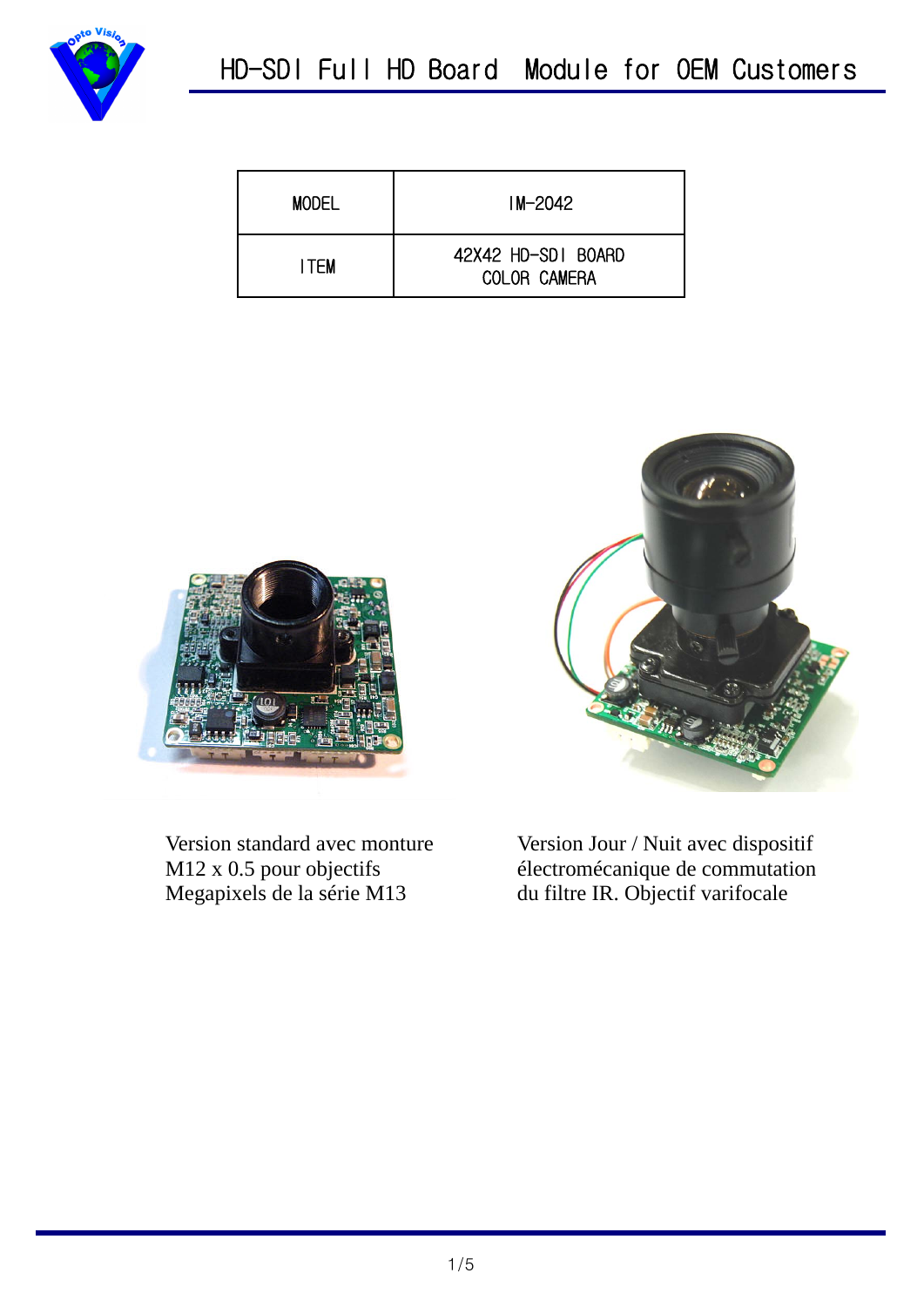

| <b>MODEL</b> | $IM - 2042$                               |  |  |  |
|--------------|-------------------------------------------|--|--|--|
| I TEM        | 42X42 HD-SDI BOARD<br><b>COLOR CAMERA</b> |  |  |  |



Version standard avec monture M12 x 0.5 pour objectifs Megapixels de la série M13



Version Jour / Nuit avec dispositif électromécanique de commutation du filtre IR. Objectif varifocale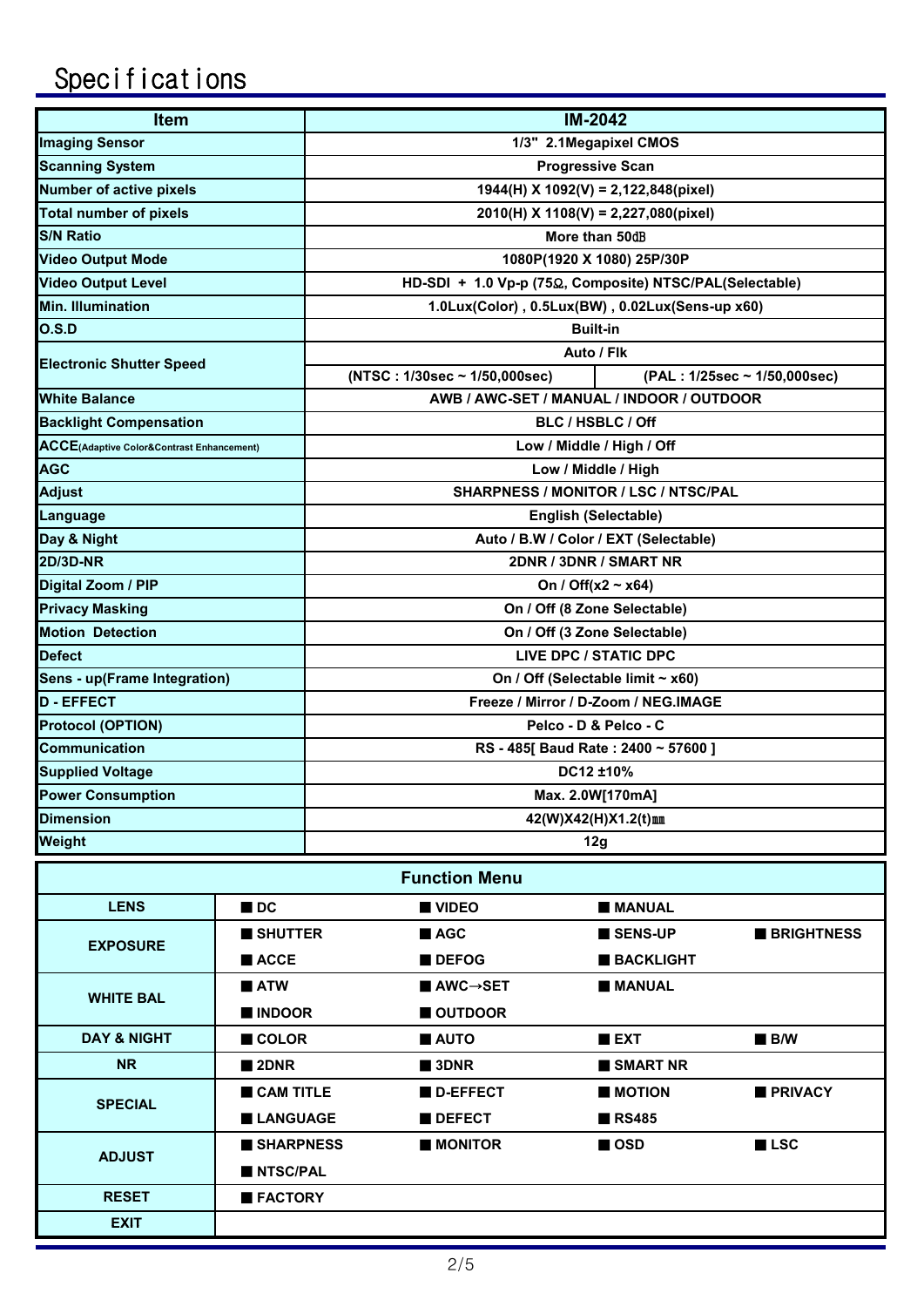## Specifications

| Item                                      |                     |                                                               | <b>IM-2042</b>               |  |  |  |  |  |  |  |
|-------------------------------------------|---------------------|---------------------------------------------------------------|------------------------------|--|--|--|--|--|--|--|
| <b>Imaging Sensor</b>                     |                     | 1/3" 2.1Megapixel CMOS                                        |                              |  |  |  |  |  |  |  |
| <b>Scanning System</b>                    |                     | <b>Progressive Scan</b>                                       |                              |  |  |  |  |  |  |  |
| <b>Number of active pixels</b>            |                     | $1944(H)$ X $1092(V)$ = 2,122,848(pixel)                      |                              |  |  |  |  |  |  |  |
| <b>Total number of pixels</b>             |                     | 2010(H) X 1108(V) = 2,227,080(pixel)                          |                              |  |  |  |  |  |  |  |
| <b>S/N Ratio</b>                          |                     | More than 50dB                                                |                              |  |  |  |  |  |  |  |
| <b>Video Output Mode</b>                  |                     | 1080P(1920 X 1080) 25P/30P                                    |                              |  |  |  |  |  |  |  |
| <b>Video Output Level</b>                 |                     | HD-SDI + 1.0 Vp-p (75Ω, Composite) NTSC/PAL(Selectable)       |                              |  |  |  |  |  |  |  |
| <b>Min. Illumination</b>                  |                     | 1.0Lux(Color), 0.5Lux(BW), 0.02Lux(Sens-up x60)               |                              |  |  |  |  |  |  |  |
| O.S.D                                     |                     | <b>Built-in</b>                                               |                              |  |  |  |  |  |  |  |
|                                           |                     | Auto / Flk                                                    |                              |  |  |  |  |  |  |  |
| <b>Electronic Shutter Speed</b>           |                     | (NTSC: 1/30sec ~ 1/50,000sec)<br>(PAL: 1/25sec ~ 1/50,000sec) |                              |  |  |  |  |  |  |  |
| <b>White Balance</b>                      |                     | AWB / AWC-SET / MANUAL / INDOOR / OUTDOOR                     |                              |  |  |  |  |  |  |  |
| <b>Backlight Compensation</b>             |                     | BLC / HSBLC / Off                                             |                              |  |  |  |  |  |  |  |
| ACCE(Adaptive Color&Contrast Enhancement) |                     | Low / Middle / High / Off                                     |                              |  |  |  |  |  |  |  |
| <b>AGC</b>                                |                     | Low / Middle / High                                           |                              |  |  |  |  |  |  |  |
| <b>Adjust</b>                             |                     | SHARPNESS / MONITOR / LSC / NTSC/PAL                          |                              |  |  |  |  |  |  |  |
| Language                                  |                     | English (Selectable)                                          |                              |  |  |  |  |  |  |  |
| Day & Night                               |                     | Auto / B.W / Color / EXT (Selectable)                         |                              |  |  |  |  |  |  |  |
| <b>2D/3D-NR</b>                           |                     | 2DNR / 3DNR / SMART NR                                        |                              |  |  |  |  |  |  |  |
| Digital Zoom / PIP                        |                     | On / Off(x2 ~ x64)                                            |                              |  |  |  |  |  |  |  |
| <b>Privacy Masking</b>                    |                     | On / Off (8 Zone Selectable)                                  |                              |  |  |  |  |  |  |  |
| <b>Motion Detection</b>                   |                     | On / Off (3 Zone Selectable)                                  |                              |  |  |  |  |  |  |  |
| <b>Defect</b>                             |                     | LIVE DPC / STATIC DPC                                         |                              |  |  |  |  |  |  |  |
| <b>Sens - up(Frame Integration)</b>       |                     | On / Off (Selectable limit ~ x60)                             |                              |  |  |  |  |  |  |  |
| <b>D - EFFECT</b>                         |                     | Freeze / Mirror / D-Zoom / NEG.IMAGE                          |                              |  |  |  |  |  |  |  |
| <b>Protocol (OPTION)</b>                  |                     | Pelco - D & Pelco - C                                         |                              |  |  |  |  |  |  |  |
| <b>Communication</b>                      |                     | RS - 485[ Baud Rate: 2400 ~ 57600]                            |                              |  |  |  |  |  |  |  |
| <b>Supplied Voltage</b>                   |                     | DC12 ±10%                                                     |                              |  |  |  |  |  |  |  |
| <b>Power Consumption</b>                  |                     | Max. 2.0W[170mA]                                              |                              |  |  |  |  |  |  |  |
| <b>Dimension</b>                          |                     | 42(W)X42(H)X1.2(t)mm                                          |                              |  |  |  |  |  |  |  |
| Weight                                    |                     | 12g                                                           |                              |  |  |  |  |  |  |  |
|                                           |                     | <b>Function Menu</b>                                          |                              |  |  |  |  |  |  |  |
|                                           |                     |                                                               |                              |  |  |  |  |  |  |  |
| <b>LENS</b>                               | $\blacksquare$ DC   | <b>UNDEO</b>                                                  | <b>MANUAL</b>                |  |  |  |  |  |  |  |
| <b>EXPOSURE</b>                           | SHUTTER             | AGC                                                           | SENS-UP<br><b>BRIGHTNESS</b> |  |  |  |  |  |  |  |
|                                           | $\blacksquare$ ACCE | <b>DEFOG</b>                                                  | <b>BACKLIGHT</b>             |  |  |  |  |  |  |  |
| <b>WHITE BAL</b>                          | $\blacksquare$ ATW  | $\blacksquare$ AWC $\rightarrow$ SET                          | <b>MANUAL</b>                |  |  |  |  |  |  |  |
|                                           | INDOOR              | OUTDOOR                                                       |                              |  |  |  |  |  |  |  |

■ 2DNR ■ 3DNR ■ SMART NR

■**LANGUAGE** ■**DEFECT** ■**RS485** 

■ **NTSC/PAL** ■ **FACTORY**

**DAY & NIGHT**

**NR**

**SPECIAL**

**EXIT**

**RESET**

**ADJUST**

■ COLOR ■ ■ AUTO ■ ■ EXT ■ B/W

■ SHARPNESS ■ MONITOR ■ OSD ■ LSC

■ CAM TITLE ■ D-EFFECT ■ MOTION ■ PRIVACY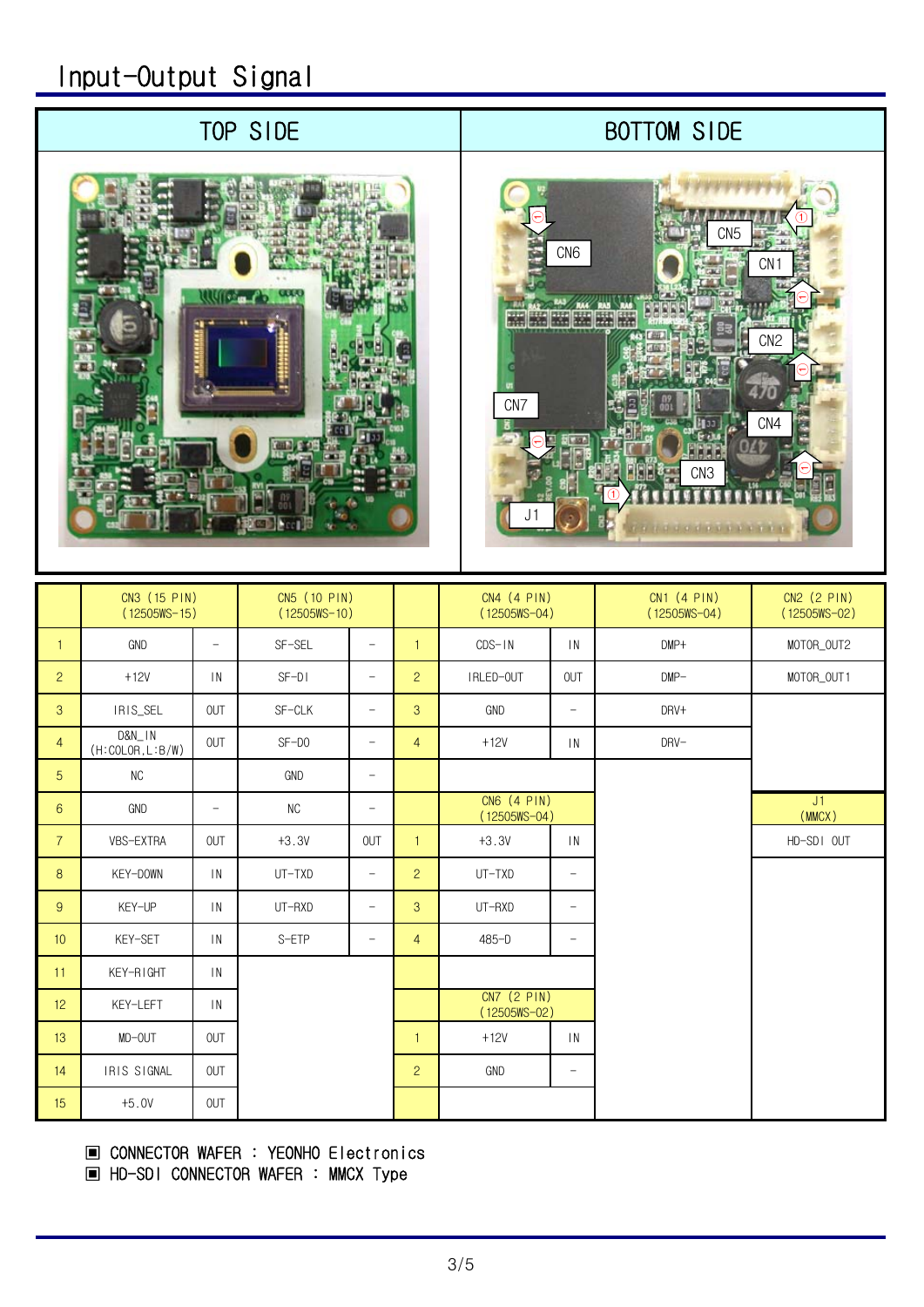## Input-Output Signal

### TOP SIDE

## BOTTOM SIDE





|                 | CN3 (15 PIN)<br>$(12505WS - 15)$ |                 | CN5 (10 PIN)<br>$(12505WS - 10)$ |                          |                | CN4 (4 PIN)<br>$(12505WS - 04)$ |                          | CN1 (4 PIN)<br>$(12505WS - 04)$ | CN2 (2 PIN)<br>$(12505WS - 02)$ |
|-----------------|----------------------------------|-----------------|----------------------------------|--------------------------|----------------|---------------------------------|--------------------------|---------------------------------|---------------------------------|
| $\mathbf{1}$    | GND                              | $-$             | SF-SEL                           | $\overline{\phantom{a}}$ | $\mathbf{1}$   | $CDS-1N$                        | $\mathsf{IN}$            | $DMP+$                          | MOTOR_OUT2                      |
| $\overline{2}$  | $+12V$                           | $\overline{1}N$ | $SF-DI$                          | $\qquad \qquad -$        | $\overline{c}$ | IRLED-OUT                       | <b>OUT</b>               | $OMP-$                          | MOTOR_OUT1                      |
| 3               | IRIS_SEL                         | <b>OUT</b>      | SF-CLK                           | $\qquad \qquad -$        | 3              | <b>GND</b>                      | $\qquad \qquad -$        | DRV+                            |                                 |
| $\overline{4}$  | D&N_IN<br>(H:COLOR, L:B/W)       | OUT             | $SF-DO$                          | $\overline{\phantom{m}}$ | $\overline{4}$ | $+12V$                          | $\mathsf{IN}$            | DRV-                            |                                 |
| 5               | <b>NC</b>                        |                 | GND                              | $\qquad \qquad -$        |                |                                 |                          |                                 |                                 |
| $6\overline{6}$ | GND                              | $-$             | <b>NC</b>                        | $\overline{\phantom{a}}$ |                | CN6 (4 PIN)<br>$(12505WS - 04)$ |                          |                                 | J1<br>(MMCX)                    |
| $\overline{7}$  | VBS-EXTRA                        | <b>OUT</b>      | $+3.3V$                          | <b>OUT</b>               | $\mathbf{1}$   | $+3.3V$                         | $\mathsf{IN}$            |                                 | HD-SDI OUT                      |
| 8               | KEY-DOWN                         | $\mathsf{IN}$   | UT-TXD                           | $\overline{\phantom{a}}$ | $\overline{c}$ | UT-TXD                          | $\qquad \qquad -$        |                                 |                                 |
| 9               | KEY-UP                           | $\mathsf{IN}$   | UT-RXD                           | $\overline{\phantom{m}}$ | 3              | UT-RXD                          | $\overline{\phantom{m}}$ |                                 |                                 |
| 10              | KEY-SET                          | $\mathsf{IN}$   | S-ETP                            | $\overline{\phantom{m}}$ | $\overline{4}$ | $485 - D$                       | $\qquad \qquad -$        |                                 |                                 |
| 11              | KEY-RIGHT                        | IN              |                                  |                          |                |                                 |                          |                                 |                                 |
| 12              | KEY-LEFT                         | $\mathsf{IN}$   |                                  |                          |                | CN7 (2 PIN)<br>(12505WS-02)     |                          |                                 |                                 |
| 13              | MD-OUT                           | <b>OUT</b>      |                                  |                          | $\mathbf{1}$   | $+12V$                          | IN                       |                                 |                                 |
| 14              | IRIS SIGNAL                      | <b>OUT</b>      |                                  |                          | $\overline{c}$ | GND                             | $\qquad \qquad -$        |                                 |                                 |
| 15              | $+5.0V$                          | <b>OUT</b>      |                                  |                          |                |                                 |                          |                                 |                                 |

### ▣ CONNECTOR WAFER : YEONHO Electronics

▣ HD-SDI CONNECTOR WAFER : MMCX Type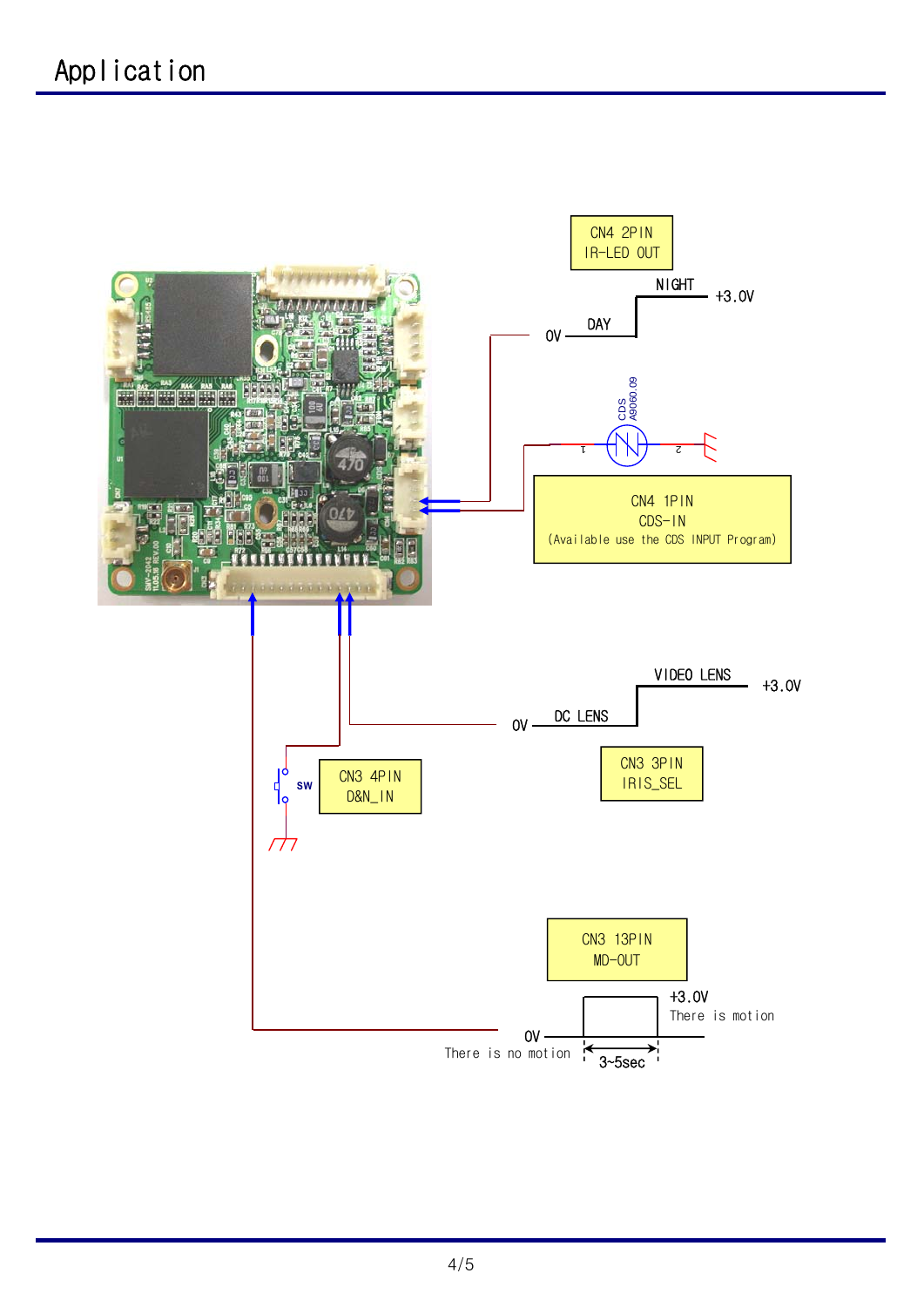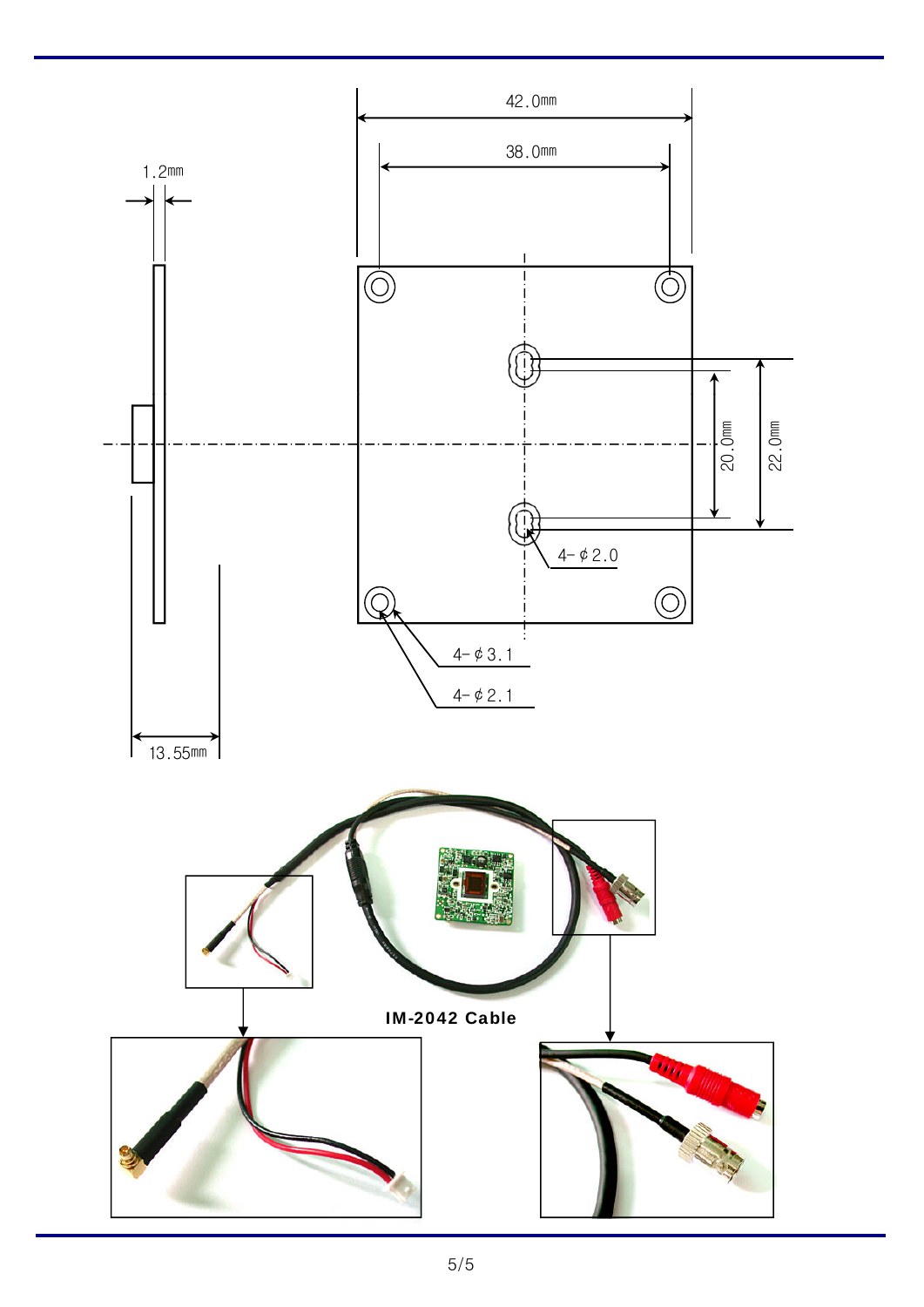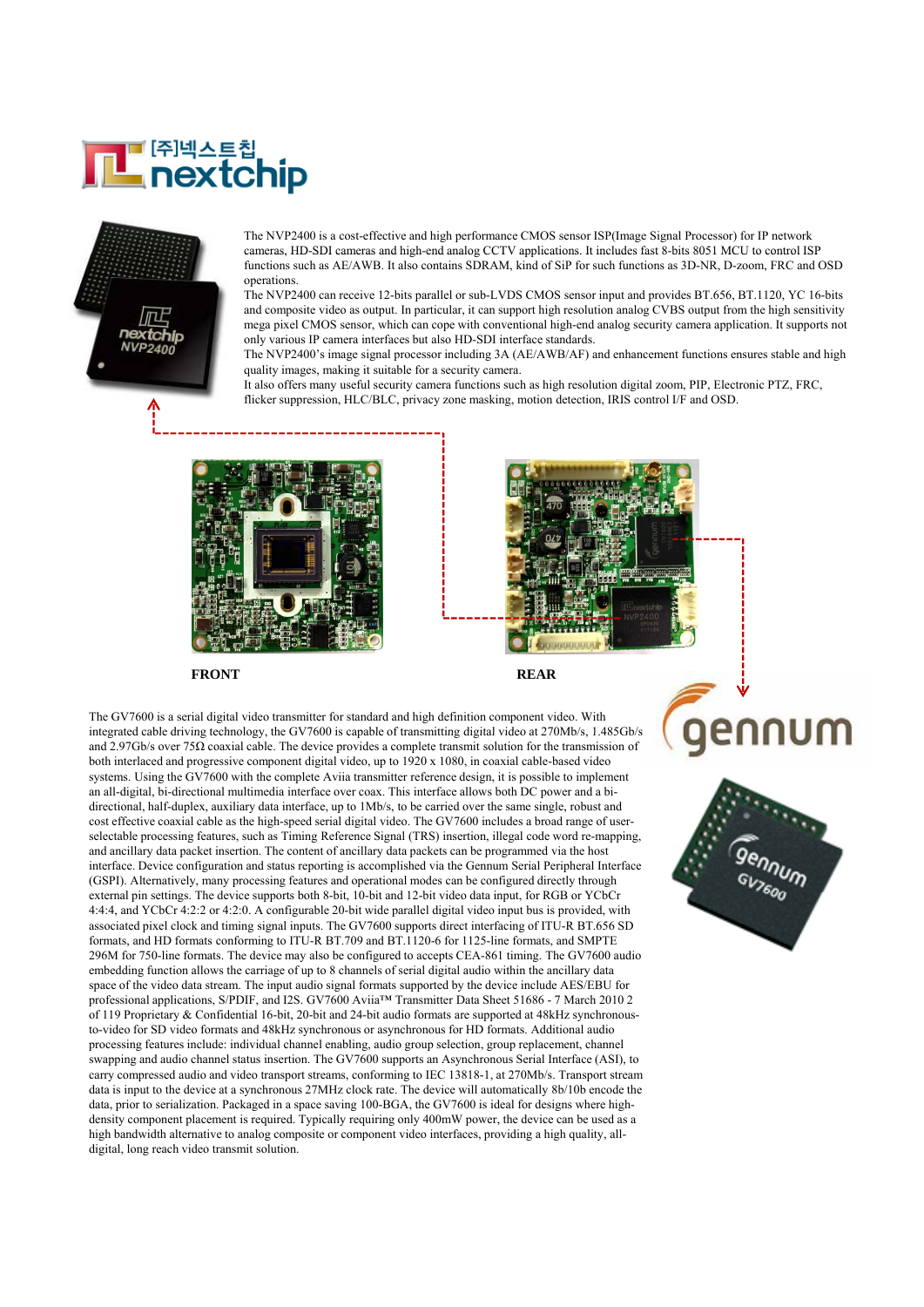# <mark>∎ (क़)</mark>Ҹ्∆ॾॖॖॗ<sup>ह्य</sup><br>∎nextchip



The NVP2400 is a cost-effective and high performance CMOS sensor ISP(Image Signal Processor) for IP network cameras, HD-SDI cameras and high-end analog CCTV applications. It includes fast 8-bits 8051 MCU to control ISP functions such as AE/AWB. It also contains SDRAM, kind of SiP for such functions as 3D-NR, D-zoom, FRC and OSD operations.

The NVP2400 can receive 12-bits parallel or sub-LVDS CMOS sensor input and provides BT.656, BT.1120, YC 16-bits and composite video as output. In particular, it can support high resolution analog CVBS output from the high sensitivity mega pixel CMOS sensor, which can cope with conventional high-end analog security camera application. It supports not only various IP camera interfaces but also HD-SDI interface standards.

The NVP2400's image signal processor including 3A (AE/AWB/AF) and enhancement functions ensures stable and high quality images, making it suitable for a security camera.

It also offers many useful security camera functions such as high resolution digital zoom, PIP, Electronic PTZ, FRC, flicker suppression, HLC/BLC, privacy zone masking, motion detection, IRIS control I/F and OSD.





FRONT REAR

The GV7600 is a serial digital video transmitter for standard and high definition component video. With integrated cable driving technology, the GV7600 is capable of transmitting digital video at 270Mb/s, 1.485Gb/s and 2.97Gb/s over 75 $\Omega$  coaxial cable. The device provides a complete transmit solution for the transmission of both interlaced and progressive component digital video, up to 1920 x 1080, in coaxial cable-based video systems. Using the GV7600 with the complete Aviia transmitter reference design, it is possible to implement an all-digital, bi-directional multimedia interface over coax. This interface allows both DC power and a bidirectional, half-duplex, auxiliary data interface, up to 1Mb/s, to be carried over the same single, robust and cost effective coaxial cable as the high-speed serial digital video. The GV7600 includes a broad range of userselectable processing features, such as Timing Reference Signal (TRS) insertion, illegal code word re-mapping, and ancillary data packet insertion. The content of ancillary data packets can be programmed via the host interface. Device configuration and status reporting is accomplished via the Gennum Serial Peripheral Interface (GSPI). Alternatively, many processing features and operational modes can be configured directly through external pin settings. The device supports both 8-bit, 10-bit and 12-bit video data input, for RGB or YCbCr 4:4:4, and YCbCr 4:2:2 or 4:2:0. A configurable 20-bit wide parallel digital video input bus is provided, with associated pixel clock and timing signal inputs. The GV7600 supports direct interfacing of ITU-R BT.656 SD formats, and HD formats conforming to ITU-R BT.709 and BT.1120-6 for 1125-line formats, and SMPTE 296M for 750-line formats. The device may also be configured to accepts CEA-861 timing. The GV7600 audio embedding function allows the carriage of up to 8 channels of serial digital audio within the ancillary data space of the video data stream. The input audio signal formats supported by the device include AES/EBU for professional applications, S/PDIF, and I2S. GV7600 Aviia™ Transmitter Data Sheet 51686 - 7 March 2010 2 of 119 Proprietary & Confidential 16-bit, 20-bit and 24-bit audio formats are supported at 48kHz synchronousto-video for SD video formats and 48kHz synchronous or asynchronous for HD formats. Additional audio processing features include: individual channel enabling, audio group selection, group replacement, channel swapping and audio channel status insertion. The GV7600 supports an Asynchronous Serial Interface (ASI), to carry compressed audio and video transport streams, conforming to IEC 13818-1, at 270Mb/s. Transport stream data is input to the device at a synchronous 27MHz clock rate. The device will automatically 8b/10b encode the data, prior to serialization. Packaged in a space saving 100-BGA, the GV7600 is ideal for designs where highdensity component placement is required. Typically requiring only 400mW power, the device can be used as a high bandwidth alternative to analog composite or component video interfaces, providing a high quality, alldigital, long reach video transmit solution.



aennum